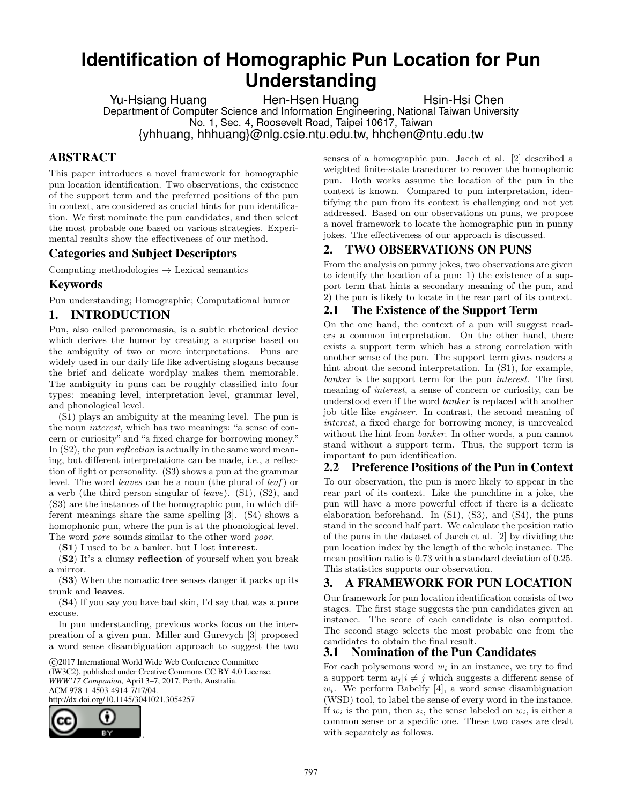# **Identification of Homographic Pun Location for Pun Understanding**

Yu-Hsiang Huang Hen-Hsen Huang Hsin-Hsi Chen Department of Computer Science and Information Engineering, National Taiwan University No. 1, Sec. 4, Roosevelt Road, Taipei 10617, Taiwan {yhhuang, hhhuang}@nlg.csie.ntu.edu.tw, hhchen@ntu.edu.tw

# ABSTRACT

This paper introduces a novel framework for homographic pun location identification. Two observations, the existence of the support term and the preferred positions of the pun in context, are considered as crucial hints for pun identification. We first nominate the pun candidates, and then select the most probable one based on various strategies. Experimental results show the effectiveness of our method.

# Categories and Subject Descriptors

Computing methodologies  $\rightarrow$  Lexical semantics

# Keywords

Pun understanding; Homographic; Computational humor

#### 1. INTRODUCTION

Pun, also called paronomasia, is a subtle rhetorical device which derives the humor by creating a surprise based on the ambiguity of two or more interpretations. Puns are widely used in our daily life like advertising slogans because the brief and delicate wordplay makes them memorable. The ambiguity in puns can be roughly classified into four types: meaning level, interpretation level, grammar level, and phonological level.

(S1) plays an ambiguity at the meaning level. The pun is the noun interest, which has two meanings: "a sense of concern or curiosity" and "a fixed charge for borrowing money." In  $(S2)$ , the pun *reflection* is actually in the same word meaning, but different interpretations can be made, i.e., a reflection of light or personality. (S3) shows a pun at the grammar level. The word *leaves* can be a noun (the plural of *leaf*) or a verb (the third person singular of leave). (S1), (S2), and (S3) are the instances of the homographic pun, in which different meanings share the same spelling [3]. (S4) shows a homophonic pun, where the pun is at the phonological level. The word *pore* sounds similar to the other word *poor*.

(S1) I used to be a banker, but I lost interest.

(S2) It's a clumsy reflection of yourself when you break a mirror.

(S3) When the nomadic tree senses danger it packs up its trunk and leaves.

(S4) If you say you have bad skin, I'd say that was a pore excuse.

In pun understanding, previous works focus on the interpreation of a given pun. Miller and Gurevych [3] proposed a word sense disambiguation approach to suggest the two

 c 2017 International World Wide Web Conference Committee (IW3C2), published under Creative Commons CC BY 4.0 License. *WWW'17 Companion,* April 3–7, 2017, Perth, Australia. ACM 978-1-4503-4914-7/17/04. http://dx.doi.org/10.1145/3041021.3054257



senses of a homographic pun. Jaech et al. [2] described a weighted finite-state transducer to recover the homophonic pun. Both works assume the location of the pun in the context is known. Compared to pun interpretation, identifying the pun from its context is challenging and not yet addressed. Based on our observations on puns, we propose a novel framework to locate the homographic pun in punny jokes. The effectiveness of our approach is discussed.

# 2. TWO OBSERVATIONS ON PUNS

From the analysis on punny jokes, two observations are given to identify the location of a pun: 1) the existence of a support term that hints a secondary meaning of the pun, and 2) the pun is likely to locate in the rear part of its context.

# 2.1 The Existence of the Support Term

On the one hand, the context of a pun will suggest readers a common interpretation. On the other hand, there exists a support term which has a strong correlation with another sense of the pun. The support term gives readers a hint about the second interpretation. In (S1), for example, banker is the support term for the pun interest. The first meaning of interest, a sense of concern or curiosity, can be understood even if the word banker is replaced with another job title like engineer. In contrast, the second meaning of interest, a fixed charge for borrowing money, is unrevealed without the hint from banker. In other words, a pun cannot stand without a support term. Thus, the support term is important to pun identification.

# 2.2 Preference Positions of the Pun in Context

To our observation, the pun is more likely to appear in the rear part of its context. Like the punchline in a joke, the pun will have a more powerful effect if there is a delicate elaboration beforehand. In (S1), (S3), and (S4), the puns stand in the second half part. We calculate the position ratio of the puns in the dataset of Jaech et al. [2] by dividing the pun location index by the length of the whole instance. The mean position ratio is 0.73 with a standard deviation of 0.25. This statistics supports our observation.

# 3. A FRAMEWORK FOR PUN LOCATION

Our framework for pun location identification consists of two stages. The first stage suggests the pun candidates given an instance. The score of each candidate is also computed. The second stage selects the most probable one from the candidates to obtain the final result.

# 3.1 Nomination of the Pun Candidates

For each polysemous word  $w_i$  in an instance, we try to find a support term  $w_i | i \neq j$  which suggests a different sense of  $w_i$ . We perform Babelfy [4], a word sense disambiguation (WSD) tool, to label the sense of every word in the instance. If  $w_i$  is the pun, then  $s_i$ , the sense labeled on  $w_i$ , is either a common sense or a specific one. These two cases are dealt with separately as follows.